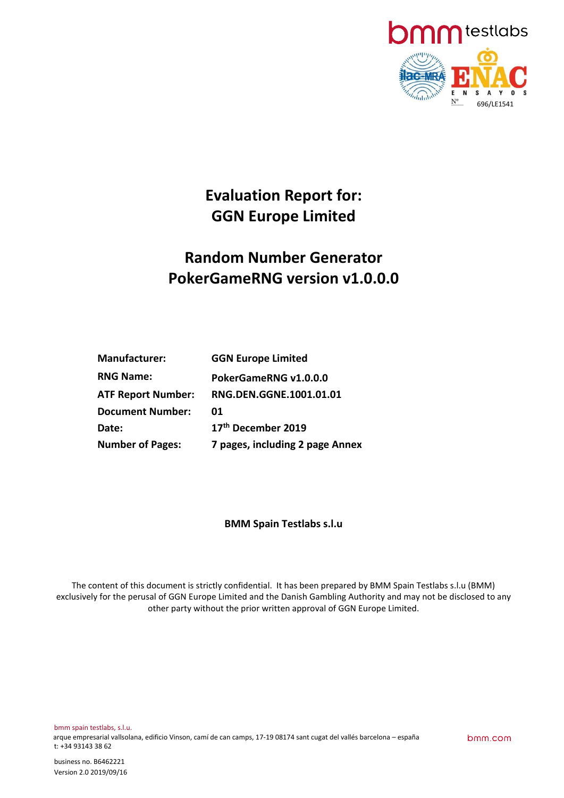

# **Evaluation Report for: GGN Europe Limited**

# **Random Number Generator PokerGameRNG version v1.0.0.0**

| <b>Manufacturer:</b>      | <b>GGN Europe Limited</b>       |
|---------------------------|---------------------------------|
| <b>RNG Name:</b>          | PokerGameRNG v1.0.0.0           |
| <b>ATF Report Number:</b> | RNG.DEN.GGNE.1001.01.01         |
| <b>Document Number:</b>   | 01                              |
| Date:                     | 17th December 2019              |
| <b>Number of Pages:</b>   | 7 pages, including 2 page Annex |

# **BMM Spain Testlabs s.l.u**

The content of this document is strictly confidential. It has been prepared by BMM Spain Testlabs s.l.u (BMM) exclusively for the perusal of GGN Europe Limited and the Danish Gambling Authority and may not be disclosed to any other party without the prior written approval of GGN Europe Limited.

bmm.com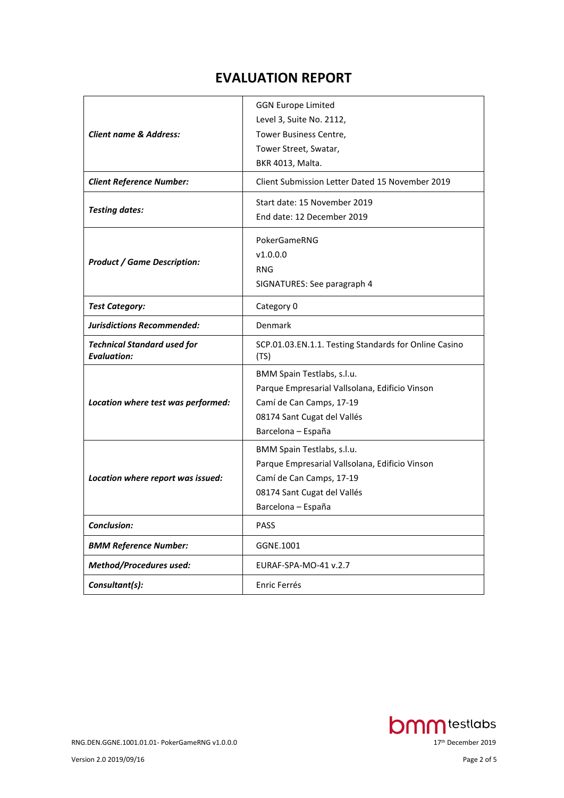# **EVALUATION REPORT**

| <b>Client name &amp; Address:</b><br><b>Client Reference Number:</b> | <b>GGN Europe Limited</b><br>Level 3, Suite No. 2112,<br>Tower Business Centre,<br>Tower Street, Swatar,<br>BKR 4013, Malta.<br>Client Submission Letter Dated 15 November 2019 |
|----------------------------------------------------------------------|---------------------------------------------------------------------------------------------------------------------------------------------------------------------------------|
| <b>Testing dates:</b>                                                | Start date: 15 November 2019<br>End date: 12 December 2019                                                                                                                      |
| <b>Product / Game Description:</b>                                   | PokerGameRNG<br>V1.0.0.0<br><b>RNG</b><br>SIGNATURES: See paragraph 4                                                                                                           |
| <b>Test Category:</b>                                                | Category 0                                                                                                                                                                      |
| <b>Jurisdictions Recommended:</b>                                    | Denmark                                                                                                                                                                         |
| <b>Technical Standard used for</b><br><b>Evaluation:</b>             | SCP.01.03.EN.1.1. Testing Standards for Online Casino<br>(TS)                                                                                                                   |
| Location where test was performed:                                   | BMM Spain Testlabs, s.l.u.<br>Parque Empresarial Vallsolana, Edificio Vinson<br>Camí de Can Camps, 17-19<br>08174 Sant Cugat del Vallés<br>Barcelona - España                   |
| Location where report was issued:                                    | BMM Spain Testlabs, s.l.u.<br>Parque Empresarial Vallsolana, Edificio Vinson<br>Camí de Can Camps, 17-19<br>08174 Sant Cugat del Vallés<br>Barcelona - España                   |
| Conclusion:                                                          | <b>PASS</b>                                                                                                                                                                     |
| <b>BMM Reference Number:</b>                                         | GGNE.1001                                                                                                                                                                       |
| <b>Method/Procedures used:</b>                                       | EURAF-SPA-MO-41 v.2.7                                                                                                                                                           |
| Consultant(s):                                                       | Enric Ferrés                                                                                                                                                                    |

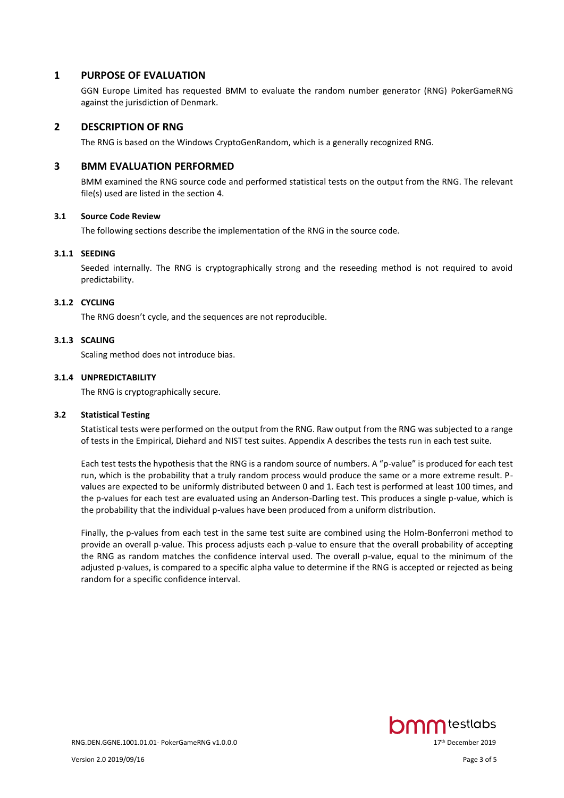### **1 PURPOSE OF EVALUATION**

GGN Europe Limited has requested BMM to evaluate the random number generator (RNG) PokerGameRNG against the jurisdiction of Denmark.

#### **2 DESCRIPTION OF RNG**

The RNG is based on the Windows CryptoGenRandom, which is a generally recognized RNG.

#### **3 BMM EVALUATION PERFORMED**

BMM examined the RNG source code and performed statistical tests on the output from the RNG. The relevant file(s) used are listed in the section 4.

#### **3.1 Source Code Review**

The following sections describe the implementation of the RNG in the source code.

#### **3.1.1 SEEDING**

Seeded internally. The RNG is cryptographically strong and the reseeding method is not required to avoid predictability.

#### **3.1.2 CYCLING**

The RNG doesn't cycle, and the sequences are not reproducible.

#### **3.1.3 SCALING**

Scaling method does not introduce bias.

#### **3.1.4 UNPREDICTABILITY**

The RNG is cryptographically secure.

#### **3.2 Statistical Testing**

Statistical tests were performed on the output from the RNG. Raw output from the RNG was subjected to a range of tests in the Empirical, Diehard and NIST test suites. Appendix A describes the tests run in each test suite.

Each test tests the hypothesis that the RNG is a random source of numbers. A "p-value" is produced for each test run, which is the probability that a truly random process would produce the same or a more extreme result. Pvalues are expected to be uniformly distributed between 0 and 1. Each test is performed at least 100 times, and the p-values for each test are evaluated using an Anderson-Darling test. This produces a single p-value, which is the probability that the individual p-values have been produced from a uniform distribution.

Finally, the p-values from each test in the same test suite are combined using the Holm-Bonferroni method to provide an overall p-value. This process adjusts each p-value to ensure that the overall probability of accepting the RNG as random matches the confidence interval used. The overall p-value, equal to the minimum of the adjusted p-values, is compared to a specific alpha value to determine if the RNG is accepted or rejected as being random for a specific confidence interval.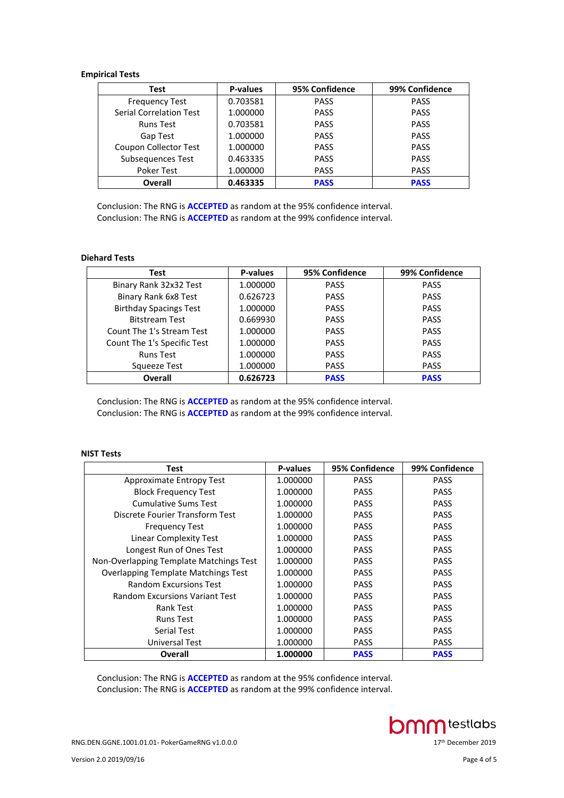#### **Empirical Tests**

| Test                           | <b>P-values</b> | 95% Confidence | 99% Confidence |
|--------------------------------|-----------------|----------------|----------------|
| <b>Frequency Test</b>          | 0.703581        | <b>PASS</b>    | <b>PASS</b>    |
| <b>Serial Correlation Test</b> | 1.000000        | <b>PASS</b>    | <b>PASS</b>    |
| <b>Runs Test</b>               | 0.703581        | <b>PASS</b>    | <b>PASS</b>    |
| Gap Test                       | 1.000000        | <b>PASS</b>    | <b>PASS</b>    |
| <b>Coupon Collector Test</b>   | 1.000000        | <b>PASS</b>    | <b>PASS</b>    |
| Subsequences Test              | 0.463335        | <b>PASS</b>    | <b>PASS</b>    |
| <b>Poker Test</b>              | 1.000000        | <b>PASS</b>    | <b>PASS</b>    |
| <b>Overall</b>                 | 0.463335        | <b>PASS</b>    | <b>PASS</b>    |

Conclusion: The RNG is **ACCEPTED** as random at the 95% confidence interval. Conclusion: The RNG is **ACCEPTED** as random at the 99% confidence interval.

#### **Diehard Tests**

| Test                          | <b>P-values</b> | 95% Confidence | 99% Confidence |
|-------------------------------|-----------------|----------------|----------------|
| Binary Rank 32x32 Test        | 1.000000        | <b>PASS</b>    | <b>PASS</b>    |
| Binary Rank 6x8 Test          | 0.626723        | <b>PASS</b>    | <b>PASS</b>    |
| <b>Birthday Spacings Test</b> | 1.000000        | <b>PASS</b>    | <b>PASS</b>    |
| <b>Bitstream Test</b>         | 0.669930        | <b>PASS</b>    | <b>PASS</b>    |
| Count The 1's Stream Test     | 1.000000        | <b>PASS</b>    | <b>PASS</b>    |
| Count The 1's Specific Test   | 1.000000        | <b>PASS</b>    | <b>PASS</b>    |
| <b>Runs Test</b>              | 1.000000        | <b>PASS</b>    | <b>PASS</b>    |
| Squeeze Test                  | 1.000000        | <b>PASS</b>    | <b>PASS</b>    |
| Overall                       | 0.626723        | <b>PASS</b>    | <b>PASS</b>    |

Conclusion: The RNG is **ACCEPTED** as random at the 95% confidence interval. Conclusion: The RNG is **ACCEPTED** as random at the 99% confidence interval.

### **NIST Tests**

| Test                                       | P-values | 95% Confidence | 99% Confidence |
|--------------------------------------------|----------|----------------|----------------|
| Approximate Entropy Test                   | 1.000000 | <b>PASS</b>    | <b>PASS</b>    |
| <b>Block Frequency Test</b>                | 1.000000 | <b>PASS</b>    | <b>PASS</b>    |
| <b>Cumulative Sums Test</b>                | 1.000000 | <b>PASS</b>    | <b>PASS</b>    |
| Discrete Fourier Transform Test            | 1.000000 | <b>PASS</b>    | <b>PASS</b>    |
| <b>Frequency Test</b>                      | 1.000000 | <b>PASS</b>    | <b>PASS</b>    |
| Linear Complexity Test                     | 1.000000 | <b>PASS</b>    | <b>PASS</b>    |
| Longest Run of Ones Test                   | 1.000000 | <b>PASS</b>    | <b>PASS</b>    |
| Non-Overlapping Template Matchings Test    | 1.000000 | <b>PASS</b>    | <b>PASS</b>    |
| <b>Overlapping Template Matchings Test</b> | 1.000000 | <b>PASS</b>    | <b>PASS</b>    |
| <b>Random Excursions Test</b>              | 1.000000 | <b>PASS</b>    | <b>PASS</b>    |
| <b>Random Excursions Variant Test</b>      | 1.000000 | <b>PASS</b>    | <b>PASS</b>    |
| Rank Test                                  | 1.000000 | <b>PASS</b>    | <b>PASS</b>    |
| <b>Runs Test</b>                           | 1.000000 | <b>PASS</b>    | <b>PASS</b>    |
| <b>Serial Test</b>                         | 1.000000 | <b>PASS</b>    | <b>PASS</b>    |
| Universal Test                             | 1.000000 | <b>PASS</b>    | <b>PASS</b>    |
| Overall                                    | 1.000000 | <b>PASS</b>    | <b>PASS</b>    |

Conclusion: The RNG is **ACCEPTED** as random at the 95% confidence interval. Conclusion: The RNG is **ACCEPTED** as random at the 99% confidence interval.

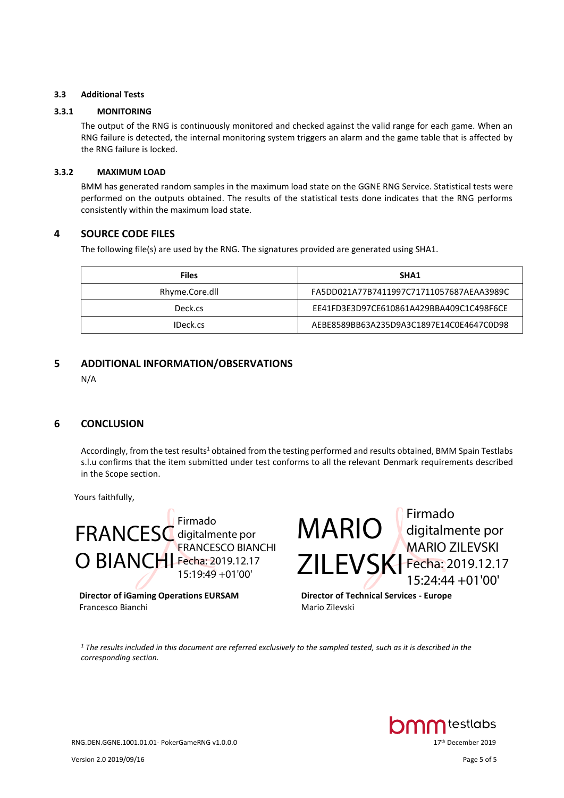#### **3.3 Additional Tests**

#### **3.3.1 MONITORING**

The output of the RNG is continuously monitored and checked against the valid range for each game. When an RNG failure is detected, the internal monitoring system triggers an alarm and the game table that is affected by the RNG failure is locked.

#### **3.3.2 MAXIMUM LOAD**

BMM has generated random samples in the maximum load state on the GGNE RNG Service. Statistical tests were performed on the outputs obtained. The results of the statistical tests done indicates that the RNG performs consistently within the maximum load state.

# **4 SOURCE CODE FILES**

The following file(s) are used by the RNG. The signatures provided are generated using SHA1.

| <b>Files</b>   | <b>SHA1</b>                              |
|----------------|------------------------------------------|
| Rhyme.Core.dll | FA5DD021A77B7411997C71711057687AEAA3989C |
| Deck.cs        | EE41FD3E3D97CE610861A429BBA409C1C498F6CE |
| IDeck.cs       | AEBE8589BB63A235D9A3C1897E14C0E4647C0D98 |

# **5 ADDITIONAL INFORMATION/OBSERVATIONS**

N/A

# **6 CONCLUSION**

Accordingly, from the test results<sup>1</sup> obtained from the testing performed and results obtained, BMM Spain Testlabs s.l.u confirms that the item submitted under test conforms to all the relevant Denmark requirements described in the Scope section.

Yours faithfully,



**Director of iGaming Operations EURSAM** Francesco Bianchi

MARIO ZILEVSKI Firmado digitalmente por MARIO ZILEVSKI Fecha: 2019.12.17 15:24:44 +01'00'

**Director of Technical Services - Europe** Mario Zilevski

*<sup>1</sup> The results included in this document are referred exclusively to the sampled tested, such as it is described in the corresponding section.*



RNG.DEN.GGNE.1001.01.01- PokerGameRNG v1.0.0.0 17

Version 2.0 2019/09/16 Page 5 of 5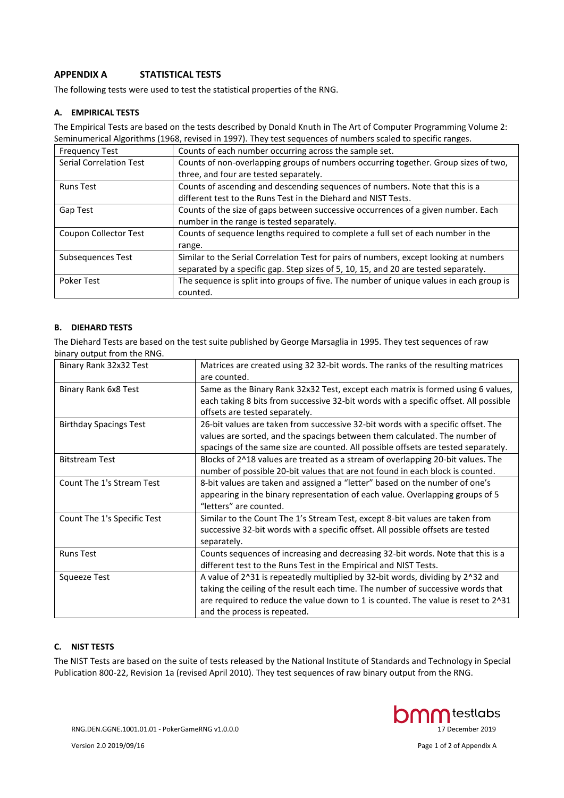# **APPENDIX A STATISTICAL TESTS**

The following tests were used to test the statistical properties of the RNG.

#### **A. EMPIRICAL TESTS**

The Empirical Tests are based on the tests described by Donald Knuth in The Art of Computer Programming Volume 2: Seminumerical Algorithms (1968, revised in 1997). They test sequences of numbers scaled to specific ranges.

| <b>Frequency Test</b>          | Counts of each number occurring across the sample set.                                  |
|--------------------------------|-----------------------------------------------------------------------------------------|
| <b>Serial Correlation Test</b> | Counts of non-overlapping groups of numbers occurring together. Group sizes of two,     |
|                                | three, and four are tested separately.                                                  |
| <b>Runs Test</b>               | Counts of ascending and descending sequences of numbers. Note that this is a            |
|                                | different test to the Runs Test in the Diehard and NIST Tests.                          |
| Gap Test                       | Counts of the size of gaps between successive occurrences of a given number. Each       |
|                                | number in the range is tested separately.                                               |
| <b>Coupon Collector Test</b>   | Counts of sequence lengths required to complete a full set of each number in the        |
|                                | range.                                                                                  |
| Subsequences Test              | Similar to the Serial Correlation Test for pairs of numbers, except looking at numbers  |
|                                | separated by a specific gap. Step sizes of 5, 10, 15, and 20 are tested separately.     |
| Poker Test                     | The sequence is split into groups of five. The number of unique values in each group is |
|                                | counted.                                                                                |

#### **B. DIEHARD TESTS**

The Diehard Tests are based on the test suite published by George Marsaglia in 1995. They test sequences of raw binary output from the RNG.

| Binary Rank 32x32 Test        | Matrices are created using 32 32-bit words. The ranks of the resulting matrices      |
|-------------------------------|--------------------------------------------------------------------------------------|
|                               | are counted.                                                                         |
| Binary Rank 6x8 Test          | Same as the Binary Rank 32x32 Test, except each matrix is formed using 6 values,     |
|                               | each taking 8 bits from successive 32-bit words with a specific offset. All possible |
|                               | offsets are tested separately.                                                       |
| <b>Birthday Spacings Test</b> | 26-bit values are taken from successive 32-bit words with a specific offset. The     |
|                               | values are sorted, and the spacings between them calculated. The number of           |
|                               | spacings of the same size are counted. All possible offsets are tested separately.   |
| <b>Bitstream Test</b>         | Blocks of 2^18 values are treated as a stream of overlapping 20-bit values. The      |
|                               | number of possible 20-bit values that are not found in each block is counted.        |
| Count The 1's Stream Test     | 8-bit values are taken and assigned a "letter" based on the number of one's          |
|                               | appearing in the binary representation of each value. Overlapping groups of 5        |
|                               | "letters" are counted.                                                               |
| Count The 1's Specific Test   | Similar to the Count The 1's Stream Test, except 8-bit values are taken from         |
|                               | successive 32-bit words with a specific offset. All possible offsets are tested      |
|                               | separately.                                                                          |
| <b>Runs Test</b>              | Counts sequences of increasing and decreasing 32-bit words. Note that this is a      |
|                               | different test to the Runs Test in the Empirical and NIST Tests.                     |
| Squeeze Test                  | A value of 2^31 is repeatedly multiplied by 32-bit words, dividing by 2^32 and       |
|                               | taking the ceiling of the result each time. The number of successive words that      |
|                               | are required to reduce the value down to 1 is counted. The value is reset to 2^31    |
|                               | and the process is repeated.                                                         |

#### **C. NIST TESTS**

The NIST Tests are based on the suite of tests released by the National Institute of Standards and Technology in Special Publication 800-22, Revision 1a (revised April 2010). They test sequences of raw binary output from the RNG.